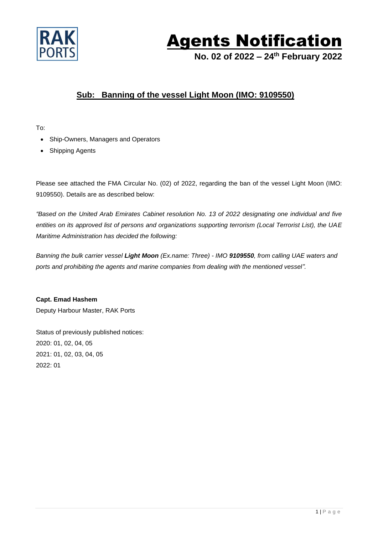

## Agents Notification

**No. 02 of 2022 – 24 th February 2022**

## **Sub: Banning of the vessel Light Moon (IMO: 9109550)**

To:

- Ship-Owners, Managers and Operators
- Shipping Agents

Please see attached the FMA Circular No. (02) of 2022, regarding the ban of the vessel Light Moon (IMO: 9109550). Details are as described below:

*"Based on the United Arab Emirates Cabinet resolution No. 13 of 2022 designating one individual and five entities on its approved list of persons and organizations supporting terrorism (Local Terrorist List), the UAE Maritime Administration has decided the following:*

*Banning the bulk carrier vessel Light Moon (Ex.name: Three) - IMO 9109550, from calling UAE waters and ports and prohibiting the agents and marine companies from dealing with the mentioned vessel".*

**Capt. Emad Hashem** Deputy Harbour Master, RAK Ports

Status of previously published notices: 2020: 01, 02, 04, 05 2021: 01, 02, 03, 04, 05 2022: 01